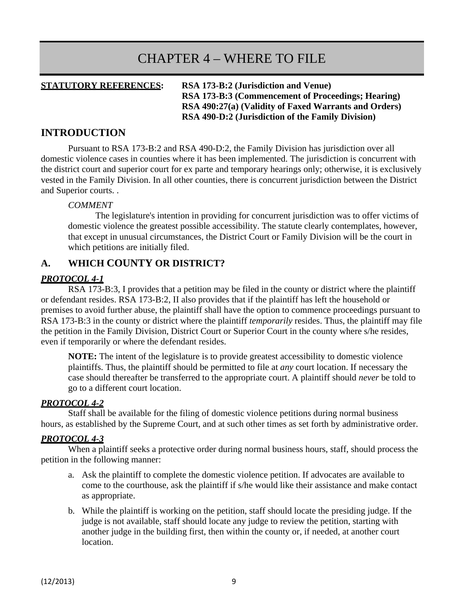# CHAPTER 4 – WHERE TO FILE

**STATUTORY REFERENCES: RSA 173-B:2 (Jurisdiction and Venue) RSA 173-B:3 (Commencement of Proceedings; Hearing) RSA 490:27(a) (Validity of Faxed Warrants and Orders) RSA 490-D:2 (Jurisdiction of the Family Division)**

## **INTRODUCTION**

Pursuant to RSA 173-B:2 and RSA 490-D:2, the Family Division has jurisdiction over all domestic violence cases in counties where it has been implemented. The jurisdiction is concurrent with the district court and superior court for ex parte and temporary hearings only; otherwise, it is exclusively vested in the Family Division. In all other counties, there is concurrent jurisdiction between the District and Superior courts. .

#### *COMMENT*

The legislature's intention in providing for concurrent jurisdiction was to offer victims of domestic violence the greatest possible accessibility. The statute clearly contemplates, however, that except in unusual circumstances, the District Court or Family Division will be the court in which petitions are initially filed.

# **A. WHICH COUNTY OR DISTRICT?**

# *PROTOCOL 4-1*

RSA 173-B:3, I provides that a petition may be filed in the county or district where the plaintiff or defendant resides. RSA 173-B:2, II also provides that if the plaintiff has left the household or premises to avoid further abuse, the plaintiff shall have the option to commence proceedings pursuant to RSA 173-B:3 in the county or district where the plaintiff *temporarily* resides. Thus, the plaintiff may file the petition in the Family Division, District Court or Superior Court in the county where s/he resides, even if temporarily or where the defendant resides.

**NOTE:** The intent of the legislature is to provide greatest accessibility to domestic violence plaintiffs. Thus, the plaintiff should be permitted to file at *any* court location. If necessary the case should thereafter be transferred to the appropriate court. A plaintiff should *never* be told to go to a different court location.

#### *PROTOCOL 4-2*

Staff shall be available for the filing of domestic violence petitions during normal business hours, as established by the Supreme Court, and at such other times as set forth by administrative order.

#### *PROTOCOL 4-3*

When a plaintiff seeks a protective order during normal business hours, staff, should process the petition in the following manner:

- a. Ask the plaintiff to complete the domestic violence petition. If advocates are available to come to the courthouse, ask the plaintiff if s/he would like their assistance and make contact as appropriate.
- b. While the plaintiff is working on the petition, staff should locate the presiding judge. If the judge is not available, staff should locate any judge to review the petition, starting with another judge in the building first, then within the county or, if needed, at another court location.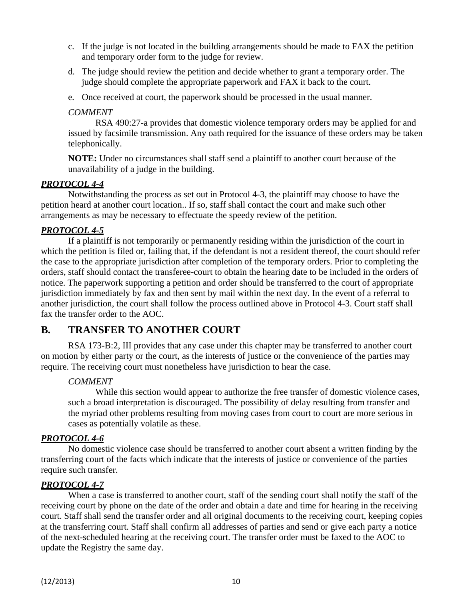- c. If the judge is not located in the building arrangements should be made to FAX the petition and temporary order form to the judge for review.
- d. The judge should review the petition and decide whether to grant a temporary order. The judge should complete the appropriate paperwork and FAX it back to the court.
- e. Once received at court, the paperwork should be processed in the usual manner.

#### *COMMENT*

RSA 490:27-a provides that domestic violence temporary orders may be applied for and issued by facsimile transmission. Any oath required for the issuance of these orders may be taken telephonically.

**NOTE:** Under no circumstances shall staff send a plaintiff to another court because of the unavailability of a judge in the building.

### *PROTOCOL 4-4*

Notwithstanding the process as set out in Protocol 4-3, the plaintiff may choose to have the petition heard at another court location.. If so, staff shall contact the court and make such other arrangements as may be necessary to effectuate the speedy review of the petition.

#### *PROTOCOL 4-5*

If a plaintiff is not temporarily or permanently residing within the jurisdiction of the court in which the petition is filed or, failing that, if the defendant is not a resident thereof, the court should refer the case to the appropriate jurisdiction after completion of the temporary orders. Prior to completing the orders, staff should contact the transferee-court to obtain the hearing date to be included in the orders of notice. The paperwork supporting a petition and order should be transferred to the court of appropriate jurisdiction immediately by fax and then sent by mail within the next day. In the event of a referral to another jurisdiction, the court shall follow the process outlined above in Protocol 4-3. Court staff shall fax the transfer order to the AOC.

# **B. TRANSFER TO ANOTHER COURT**

RSA 173-B:2, III provides that any case under this chapter may be transferred to another court on motion by either party or the court, as the interests of justice or the convenience of the parties may require. The receiving court must nonetheless have jurisdiction to hear the case.

#### *COMMENT*

While this section would appear to authorize the free transfer of domestic violence cases, such a broad interpretation is discouraged. The possibility of delay resulting from transfer and the myriad other problems resulting from moving cases from court to court are more serious in cases as potentially volatile as these.

#### *PROTOCOL 4-6*

No domestic violence case should be transferred to another court absent a written finding by the transferring court of the facts which indicate that the interests of justice or convenience of the parties require such transfer.

#### *PROTOCOL 4-7*

When a case is transferred to another court, staff of the sending court shall notify the staff of the receiving court by phone on the date of the order and obtain a date and time for hearing in the receiving court. Staff shall send the transfer order and all original documents to the receiving court, keeping copies at the transferring court. Staff shall confirm all addresses of parties and send or give each party a notice of the next-scheduled hearing at the receiving court. The transfer order must be faxed to the AOC to update the Registry the same day.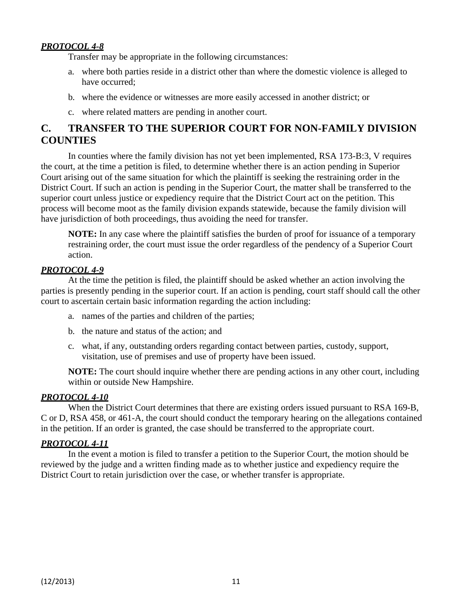# *PROTOCOL 4-8*

Transfer may be appropriate in the following circumstances:

- a. where both parties reside in a district other than where the domestic violence is alleged to have occurred;
- b. where the evidence or witnesses are more easily accessed in another district; or
- c. where related matters are pending in another court.

# **C. TRANSFER TO THE SUPERIOR COURT FOR NON-FAMILY DIVISION COUNTIES**

In counties where the family division has not yet been implemented, RSA 173-B:3, V requires the court, at the time a petition is filed, to determine whether there is an action pending in Superior Court arising out of the same situation for which the plaintiff is seeking the restraining order in the District Court. If such an action is pending in the Superior Court, the matter shall be transferred to the superior court unless justice or expediency require that the District Court act on the petition. This process will become moot as the family division expands statewide, because the family division will have jurisdiction of both proceedings, thus avoiding the need for transfer.

**NOTE:** In any case where the plaintiff satisfies the burden of proof for issuance of a temporary restraining order, the court must issue the order regardless of the pendency of a Superior Court action.

#### *PROTOCOL 4-9*

At the time the petition is filed, the plaintiff should be asked whether an action involving the parties is presently pending in the superior court. If an action is pending, court staff should call the other court to ascertain certain basic information regarding the action including:

- a. names of the parties and children of the parties;
- b. the nature and status of the action; and
- c. what, if any, outstanding orders regarding contact between parties, custody, support, visitation, use of premises and use of property have been issued.

**NOTE:** The court should inquire whether there are pending actions in any other court, including within or outside New Hampshire.

#### *PROTOCOL 4-10*

When the District Court determines that there are existing orders issued pursuant to RSA 169-B, C or D, RSA 458, or 461-A, the court should conduct the temporary hearing on the allegations contained in the petition. If an order is granted, the case should be transferred to the appropriate court.

#### *PROTOCOL 4-11*

In the event a motion is filed to transfer a petition to the Superior Court, the motion should be reviewed by the judge and a written finding made as to whether justice and expediency require the District Court to retain jurisdiction over the case, or whether transfer is appropriate.